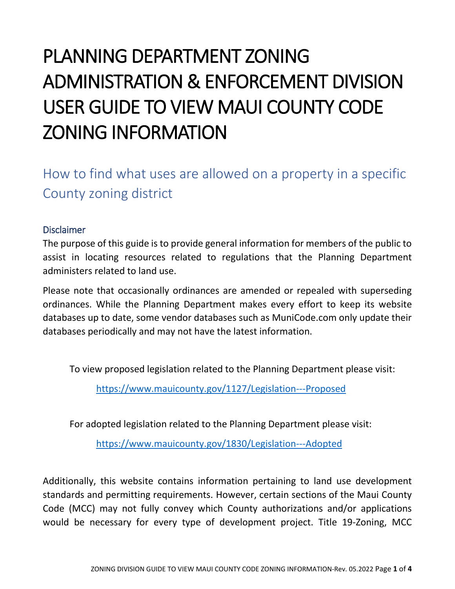## PLANNING DEPARTMENT ZONING ADMINISTRATION & ENFORCEMENT DIVISION USER GUIDE TO VIEW MAUI COUNTY CODE ZONING INFORMATION

How to find what uses are allowed on a property in a specific County zoning district

## Disclaimer

The purpose of this guide is to provide general information for members of the public to assist in locating resources related to regulations that the Planning Department administers related to land use.

Please note that occasionally ordinances are amended or repealed with superseding ordinances. While the Planning Department makes every effort to keep its website databases up to date, some vendor databases such as MuniCode.com only update their databases periodically and may not have the latest information.

To view proposed legislation related to the Planning Department please visit:

<https://www.mauicounty.gov/1127/Legislation---Proposed>

For adopted legislation related to the Planning Department please visit:

<https://www.mauicounty.gov/1830/Legislation---Adopted>

Additionally, this website contains information pertaining to land use development standards and permitting requirements. However, certain sections of the Maui County Code (MCC) may not fully convey which County authorizations and/or applications would be necessary for every type of development project. Title 19-Zoning, MCC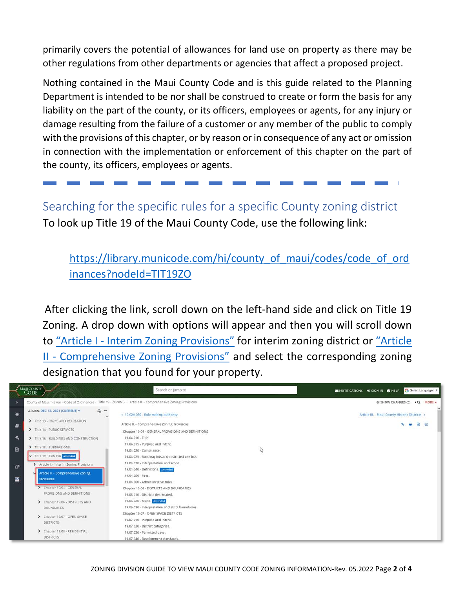primarily covers the potential of allowances for land use on property as there may be other regulations from other departments or agencies that affect a proposed project.

Nothing contained in the Maui County Code and is this guide related to the Planning Department is intended to be nor shall be construed to create or form the basis for any liability on the part of the county, or its officers, employees or agents, for any injury or damage resulting from the failure of a customer or any member of the public to comply with the provisions of this chapter, or by reason or in consequence of any act or omission in connection with the implementation or enforcement of this chapter on the part of the county, its officers, employees or agents.

Searching for the specific rules for a specific County zoning district To look up Title 19 of the Maui County Code, use the following link:

https://library.municode.com/hi/county of maui/codes/code of ord [inances?nodeId=TIT19ZO](https://library.municode.com/hi/county_of_maui/codes/code_of_ordinances?nodeId=TIT19ZO)

After clicking the link, scroll down on the left-hand side and click on Title 19 Zoning. A drop down with options will appear and then you will scroll down to "Article I - [Interim Zoning Provisions"](https://library.municode.com/hi/county_of_maui/codes/code_of_ordinances?nodeId=TIT19ZO_ARTIINZOPR) for interim zoning district or ["Article](https://library.municode.com/hi/county_of_maui/codes/code_of_ordinances?nodeId=TIT19ZO_ARTIICOZOPR_CH19.36BOREPALO)  II - [Comprehensive Zoning Provisions"](https://library.municode.com/hi/county_of_maui/codes/code_of_ordinances?nodeId=TIT19ZO_ARTIICOZOPR_CH19.36BOREPALO) and select the corresponding zoning designation that you found for your property.

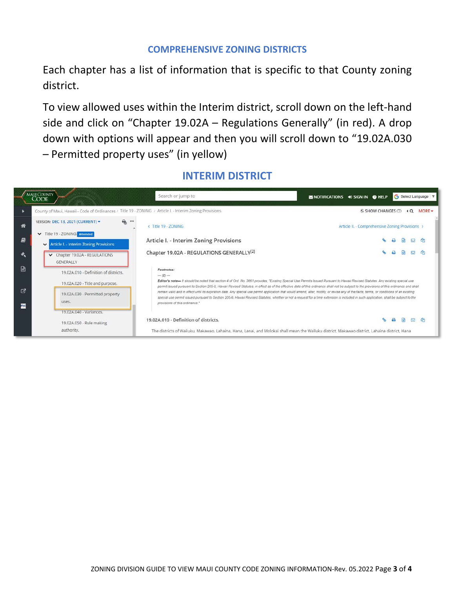## **COMPREHENSIVE ZONING DISTRICTS**

Each chapter has a list of information that is specific to that County zoning district.

To view allowed uses within the Interim district, scroll down on the left-hand side and click on "Chapter 19.02A – Regulations Generally" (in red). A drop down with options will appear and then you will scroll down to "19.02A.030 – Permitted property uses" (in yellow)

## **INTERIM DISTRICT**